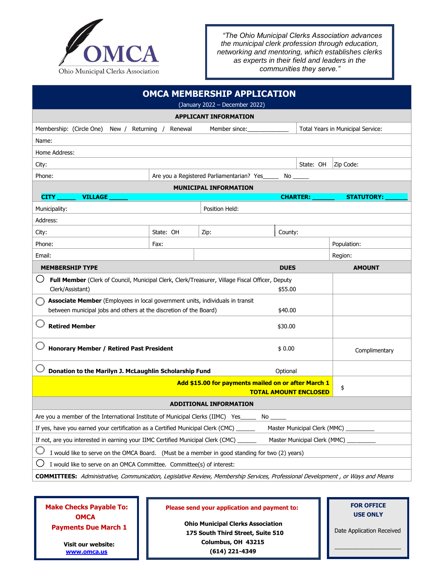

*"The Ohio Municipal Clerks Association advances the municipal clerk profession through education, networking and mentoring, which establishes clerks as experts in their field and leaders in the communities they serve."*

| <b>OMCA MEMBERSHIP APPLICATION</b><br>(January 2022 - December 2022)                                                                                          |           |                |                                   |                   |
|---------------------------------------------------------------------------------------------------------------------------------------------------------------|-----------|----------------|-----------------------------------|-------------------|
| <b>APPLICANT INFORMATION</b>                                                                                                                                  |           |                |                                   |                   |
| Membership: (Circle One)<br>Returning /<br>Member since:<br>New /<br>Renewal                                                                                  |           |                | Total Years in Municipal Service: |                   |
| Name:                                                                                                                                                         |           |                |                                   |                   |
| Home Address:                                                                                                                                                 |           |                |                                   |                   |
| City:                                                                                                                                                         |           |                | State: OH                         | Zip Code:         |
| Phone:<br>Are you a Registered Parliamentarian? Yes_<br>No                                                                                                    |           |                |                                   |                   |
| <b>MUNICIPAL INFORMATION</b>                                                                                                                                  |           |                |                                   |                   |
| <b>CITY</b><br><b>VILLAGE</b>                                                                                                                                 |           |                | <b>CHARTER:</b>                   | <b>STATUTORY:</b> |
| Municipality:                                                                                                                                                 |           | Position Held: |                                   |                   |
| Address:                                                                                                                                                      |           |                |                                   |                   |
| City:                                                                                                                                                         | State: OH | Zip:           | County:                           |                   |
| Phone:                                                                                                                                                        | Fax:      |                |                                   | Population:       |
| Email:                                                                                                                                                        |           |                |                                   | Region:           |
| <b>DUES</b><br><b>MEMBERSHIP TYPE</b>                                                                                                                         |           |                | <b>AMOUNT</b>                     |                   |
| Full Member (Clerk of Council, Municipal Clerk, Clerk/Treasurer, Village Fiscal Officer, Deputy<br>Clerk/Assistant)<br>\$55.00                                |           |                |                                   |                   |
| Associate Member (Employees in local government units, individuals in transit<br>between municipal jobs and others at the discretion of the Board)<br>\$40.00 |           |                |                                   |                   |
| <b>Retired Member</b><br>\$30.00                                                                                                                              |           |                |                                   |                   |
| <b>Honorary Member / Retired Past President</b><br>\$0.00                                                                                                     |           |                |                                   | Complimentary     |
| Donation to the Marilyn J. McLaughlin Scholarship Fund<br>Optional                                                                                            |           |                |                                   |                   |
| Add \$15.00 for payments mailed on or after March 1<br><b>TOTAL AMOUNT ENCLOSED</b>                                                                           |           |                |                                   | \$                |
| <b>ADDITIONAL INFORMATION</b>                                                                                                                                 |           |                |                                   |                   |
| Are you a member of the International Institute of Municipal Clerks (IIMC) Yes_<br>No                                                                         |           |                |                                   |                   |
| If yes, have you earned your certification as a Certified Municipal Clerk (CMC) _<br>Master Municipal Clerk (MMC) _                                           |           |                |                                   |                   |
| If not, are you interested in earning your IIMC Certified Municipal Clerk (CMC)<br>Master Municipal Clerk (MMC)                                               |           |                |                                   |                   |
| I would like to serve on the OMCA Board. (Must be a member in good standing for two (2) years)                                                                |           |                |                                   |                   |
| I would like to serve on an OMCA Committee. Committee(s) of interest:                                                                                         |           |                |                                   |                   |
| <b>COMMITTEES:</b> Administrative, Communication, Legislative Review, Membership Services, Professional Development, or Ways and Means                        |           |                |                                   |                   |

 **Make Checks Payable To: OMCA Payments Due March 1**

> **Visit our website: [www.omca.us](http://www.omca.us/)**

## **Please send your application and payment to:**

**Ohio Municipal Clerks Association 175 South Third Street, Suite 510 Columbus, OH 43215 (614) 221-4349**

## **FOR OFFICE USE ONLY**

Date Application Received

\_\_\_\_\_\_\_\_\_\_\_\_\_\_\_\_\_\_\_\_\_